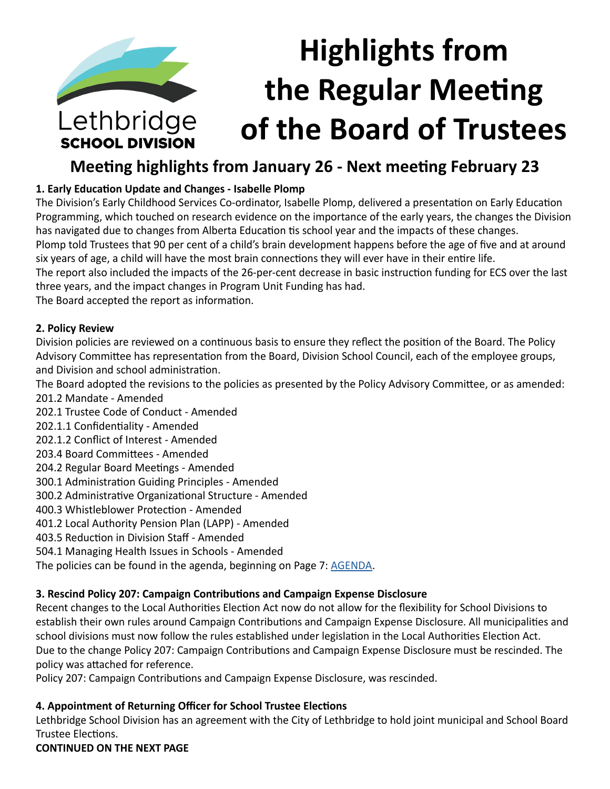# **Highlights from the Regular Meeting**  Lethbridge **of the Board of Trustees SCHOOL DIVISION**

## **Meeting highlights from January 26 - Next meeting February 23**

## **1. Early Education Update and Changes - Isabelle Plomp**

The Division's Early Childhood Services Co-ordinator, Isabelle Plomp, delivered a presentation on Early Education Programming, which touched on research evidence on the importance of the early years, the changes the Division has navigated due to changes from Alberta Education tis school year and the impacts of these changes.

Plomp told Trustees that 90 per cent of a child's brain development happens before the age of five and at around six years of age, a child will have the most brain connections they will ever have in their entire life.

The report also included the impacts of the 26-per-cent decrease in basic instruction funding for ECS over the last three years, and the impact changes in Program Unit Funding has had.

The Board accepted the report as information.

## **2. Policy Review**

Division policies are reviewed on a continuous basis to ensure they reflect the position of the Board. The Policy Advisory Committee has representation from the Board, Division School Council, each of the employee groups, and Division and school administration.

The Board adopted the revisions to the policies as presented by the Policy Advisory Committee, or as amended: 201.2 Mandate - Amended

202.1 Trustee Code of Conduct - Amended

- 202.1.1 Confidentiality Amended
- 202.1.2 Conflict of Interest Amended
- 203.4 Board Committees Amended
- 204.2 Regular Board Meetings Amended
- 300.1 Administration Guiding Principles Amended
- 300.2 Administrative Organizational Structure Amended
- 400.3 Whistleblower Protection Amended
- 401.2 Local Authority Pension Plan (LAPP) Amended
- 403.5 Reduction in Division Staff Amended
- 504.1 Managing Health Issues in Schools Amended

The policies can be found in the agenda, beginning on Page 7: [AGENDA.](https://www.lethsd.ab.ca/download/320396)

## **3. Rescind Policy 207: Campaign Contributions and Campaign Expense Disclosure**

Recent changes to the Local Authorities Election Act now do not allow for the flexibility for School Divisions to establish their own rules around Campaign Contributions and Campaign Expense Disclosure. All municipalities and school divisions must now follow the rules established under legislation in the Local Authorities Election Act. Due to the change Policy 207: Campaign Contributions and Campaign Expense Disclosure must be rescinded. The policy was attached for reference.

Policy 207: Campaign Contributions and Campaign Expense Disclosure, was rescinded.

## **4. Appointment of Returning Officer for School Trustee Elections**

Lethbridge School Division has an agreement with the City of Lethbridge to hold joint municipal and School Board Trustee Elections.

## **CONTINUED ON THE NEXT PAGE**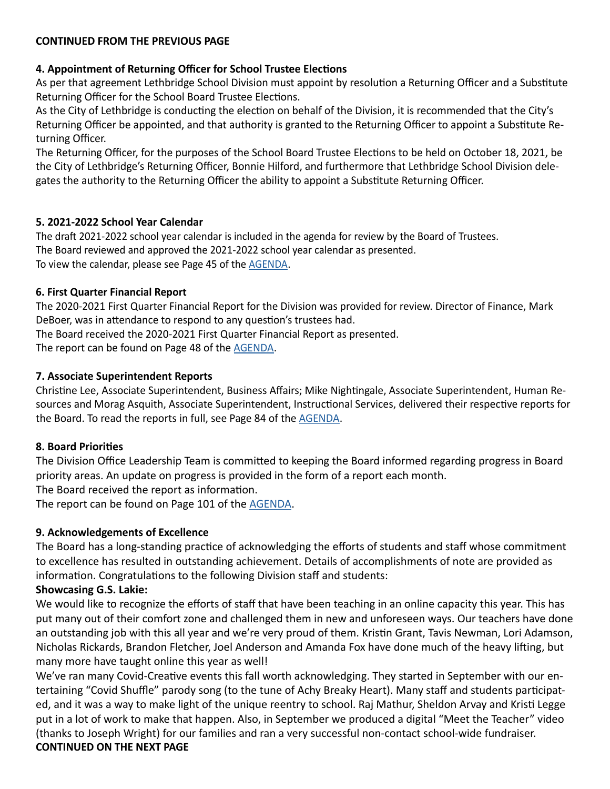## **4. Appointment of Returning Officer for School Trustee Elections**

As per that agreement Lethbridge School Division must appoint by resolution a Returning Officer and a Substitute Returning Officer for the School Board Trustee Elections.

As the City of Lethbridge is conducting the election on behalf of the Division, it is recommended that the City's Returning Officer be appointed, and that authority is granted to the Returning Officer to appoint a Substitute Returning Officer.

The Returning Officer, for the purposes of the School Board Trustee Elections to be held on October 18, 2021, be the City of Lethbridge's Returning Officer, Bonnie Hilford, and furthermore that Lethbridge School Division delegates the authority to the Returning Officer the ability to appoint a Substitute Returning Officer.

## **5. 2021-2022 School Year Calendar**

The draft 2021-2022 school year calendar is included in the agenda for review by the Board of Trustees. The Board reviewed and approved the 2021-2022 school year calendar as presented. To view the calendar, please see Page 45 of the [AGENDA.](https://www.lethsd.ab.ca/download/320396)

## **6. First Quarter Financial Report**

The 2020-2021 First Quarter Financial Report for the Division was provided for review. Director of Finance, Mark DeBoer, was in attendance to respond to any question's trustees had.

The Board received the 2020-2021 First Quarter Financial Report as presented.

The report can be found on Page 48 of the [AGENDA](https://www.lethsd.ab.ca/download/320396).

## **7. Associate Superintendent Reports**

Christine Lee, Associate Superintendent, Business Affairs; Mike Nightingale, Associate Superintendent, Human Resources and Morag Asquith, Associate Superintendent, Instructional Services, delivered their respective reports for the Board. To read the reports in full, see Page 84 of the [AGENDA](https://www.lethsd.ab.ca/download/320396).

## **8. Board Priorities**

The Division Office Leadership Team is committed to keeping the Board informed regarding progress in Board priority areas. An update on progress is provided in the form of a report each month.

The Board received the report as information.

The report can be found on Page 101 of the **AGENDA**.

## **9. Acknowledgements of Excellence**

The Board has a long-standing practice of acknowledging the efforts of students and staff whose commitment to excellence has resulted in outstanding achievement. Details of accomplishments of note are provided as information. Congratulations to the following Division staff and students:

## **Showcasing G.S. Lakie:**

We would like to recognize the efforts of staff that have been teaching in an online capacity this year. This has put many out of their comfort zone and challenged them in new and unforeseen ways. Our teachers have done an outstanding job with this all year and we're very proud of them. Kristin Grant, Tavis Newman, Lori Adamson, Nicholas Rickards, Brandon Fletcher, Joel Anderson and Amanda Fox have done much of the heavy lifting, but many more have taught online this year as well!

We've ran many Covid-Creative events this fall worth acknowledging. They started in September with our entertaining "Covid Shuffle" parody song (to the tune of Achy Breaky Heart). Many staff and students participated, and it was a way to make light of the unique reentry to school. Raj Mathur, Sheldon Arvay and Kristi Legge put in a lot of work to make that happen. Also, in September we produced a digital "Meet the Teacher" video (thanks to Joseph Wright) for our families and ran a very successful non-contact school-wide fundraiser. **CONTINUED ON THE NEXT PAGE**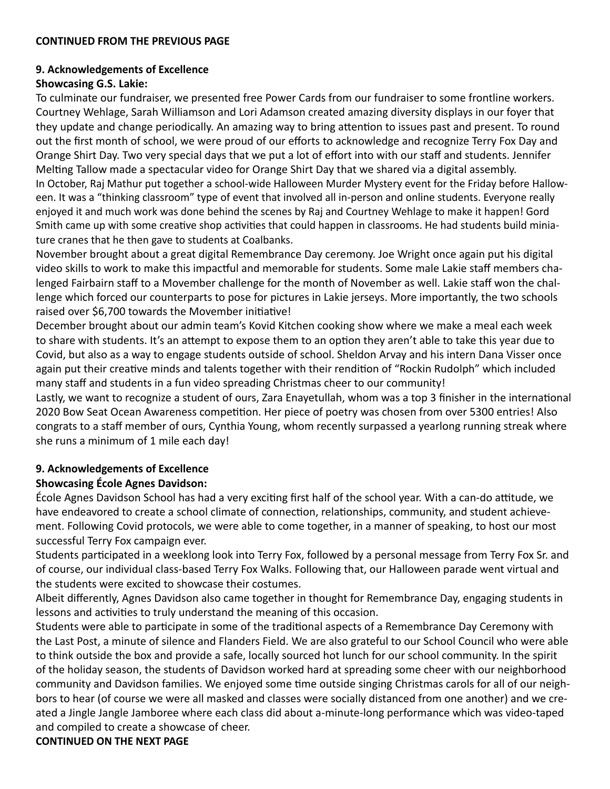#### **9. Acknowledgements of Excellence**

#### **Showcasing G.S. Lakie:**

To culminate our fundraiser, we presented free Power Cards from our fundraiser to some frontline workers. Courtney Wehlage, Sarah Williamson and Lori Adamson created amazing diversity displays in our foyer that they update and change periodically. An amazing way to bring attention to issues past and present. To round out the first month of school, we were proud of our efforts to acknowledge and recognize Terry Fox Day and Orange Shirt Day. Two very special days that we put a lot of effort into with our staff and students. Jennifer Melting Tallow made a spectacular video for Orange Shirt Day that we shared via a digital assembly. In October, Raj Mathur put together a school-wide Halloween Murder Mystery event for the Friday before Halloween. It was a "thinking classroom" type of event that involved all in-person and online students. Everyone really enjoyed it and much work was done behind the scenes by Raj and Courtney Wehlage to make it happen! Gord Smith came up with some creative shop activities that could happen in classrooms. He had students build miniature cranes that he then gave to students at Coalbanks.

November brought about a great digital Remembrance Day ceremony. Joe Wright once again put his digital video skills to work to make this impactful and memorable for students. Some male Lakie staff members chalenged Fairbairn staff to a Movember challenge for the month of November as well. Lakie staff won the challenge which forced our counterparts to pose for pictures in Lakie jerseys. More importantly, the two schools raised over \$6,700 towards the Movember initiative!

December brought about our admin team's Kovid Kitchen cooking show where we make a meal each week to share with students. It's an attempt to expose them to an option they aren't able to take this year due to Covid, but also as a way to engage students outside of school. Sheldon Arvay and his intern Dana Visser once again put their creative minds and talents together with their rendition of "Rockin Rudolph" which included many staff and students in a fun video spreading Christmas cheer to our community!

Lastly, we want to recognize a student of ours, Zara Enayetullah, whom was a top 3 finisher in the international 2020 Bow Seat Ocean Awareness competition. Her piece of poetry was chosen from over 5300 entries! Also congrats to a staff member of ours, Cynthia Young, whom recently surpassed a yearlong running streak where she runs a minimum of 1 mile each day!

## **9. Acknowledgements of Excellence**

## **Showcasing École Agnes Davidson:**

École Agnes Davidson School has had a very exciting first half of the school year. With a can-do attitude, we have endeavored to create a school climate of connection, relationships, community, and student achievement. Following Covid protocols, we were able to come together, in a manner of speaking, to host our most successful Terry Fox campaign ever.

Students participated in a weeklong look into Terry Fox, followed by a personal message from Terry Fox Sr. and of course, our individual class-based Terry Fox Walks. Following that, our Halloween parade went virtual and the students were excited to showcase their costumes.

Albeit differently, Agnes Davidson also came together in thought for Remembrance Day, engaging students in lessons and activities to truly understand the meaning of this occasion.

Students were able to participate in some of the traditional aspects of a Remembrance Day Ceremony with the Last Post, a minute of silence and Flanders Field. We are also grateful to our School Council who were able to think outside the box and provide a safe, locally sourced hot lunch for our school community. In the spirit of the holiday season, the students of Davidson worked hard at spreading some cheer with our neighborhood community and Davidson families. We enjoyed some time outside singing Christmas carols for all of our neighbors to hear (of course we were all masked and classes were socially distanced from one another) and we created a Jingle Jangle Jamboree where each class did about a-minute-long performance which was video-taped and compiled to create a showcase of cheer.

**CONTINUED ON THE NEXT PAGE**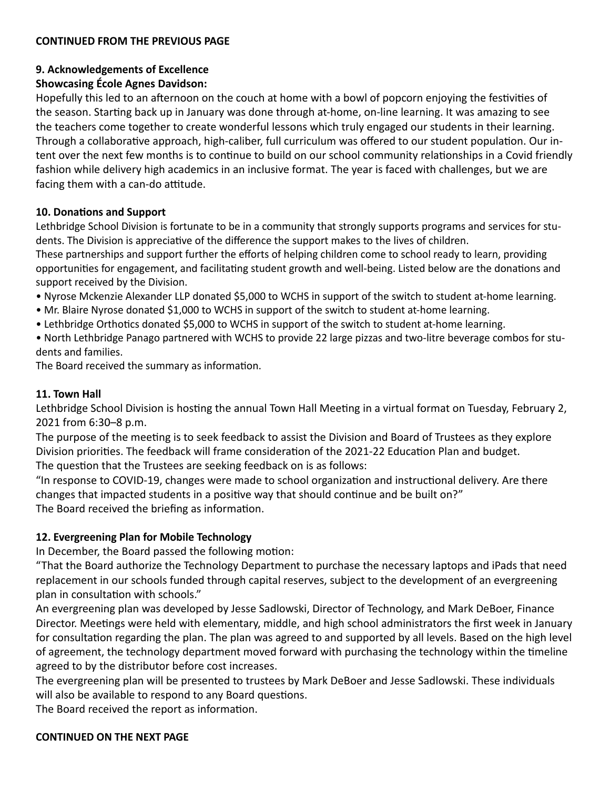## **9. Acknowledgements of Excellence**

## **Showcasing École Agnes Davidson:**

Hopefully this led to an afternoon on the couch at home with a bowl of popcorn enjoying the festivities of the season. Starting back up in January was done through at-home, on-line learning. It was amazing to see the teachers come together to create wonderful lessons which truly engaged our students in their learning. Through a collaborative approach, high-caliber, full curriculum was offered to our student population. Our intent over the next few months is to continue to build on our school community relationships in a Covid friendly fashion while delivery high academics in an inclusive format. The year is faced with challenges, but we are facing them with a can-do attitude.

## **10. Donations and Support**

Lethbridge School Division is fortunate to be in a community that strongly supports programs and services for students. The Division is appreciative of the difference the support makes to the lives of children.

These partnerships and support further the efforts of helping children come to school ready to learn, providing opportunities for engagement, and facilitating student growth and well-being. Listed below are the donations and support received by the Division.

- Nyrose Mckenzie Alexander LLP donated \$5,000 to WCHS in support of the switch to student at-home learning.
- Mr. Blaire Nyrose donated \$1,000 to WCHS in support of the switch to student at-home learning.
- Lethbridge Orthotics donated \$5,000 to WCHS in support of the switch to student at-home learning.
- North Lethbridge Panago partnered with WCHS to provide 22 large pizzas and two-litre beverage combos for students and families.

The Board received the summary as information.

## **11. Town Hall**

Lethbridge School Division is hosting the annual Town Hall Meeting in a virtual format on Tuesday, February 2, 2021 from 6:30–8 p.m.

The purpose of the meeting is to seek feedback to assist the Division and Board of Trustees as they explore Division priorities. The feedback will frame consideration of the 2021-22 Education Plan and budget.

The question that the Trustees are seeking feedback on is as follows:

"In response to COVID-19, changes were made to school organization and instructional delivery. Are there changes that impacted students in a positive way that should continue and be built on?" The Board received the briefing as information.

## **12. Evergreening Plan for Mobile Technology**

In December, the Board passed the following motion:

"That the Board authorize the Technology Department to purchase the necessary laptops and iPads that need replacement in our schools funded through capital reserves, subject to the development of an evergreening plan in consultation with schools."

An evergreening plan was developed by Jesse Sadlowski, Director of Technology, and Mark DeBoer, Finance Director. Meetings were held with elementary, middle, and high school administrators the first week in January for consultation regarding the plan. The plan was agreed to and supported by all levels. Based on the high level of agreement, the technology department moved forward with purchasing the technology within the timeline agreed to by the distributor before cost increases.

The evergreening plan will be presented to trustees by Mark DeBoer and Jesse Sadlowski. These individuals will also be available to respond to any Board questions.

The Board received the report as information.

## **CONTINUED ON THE NEXT PAGE**